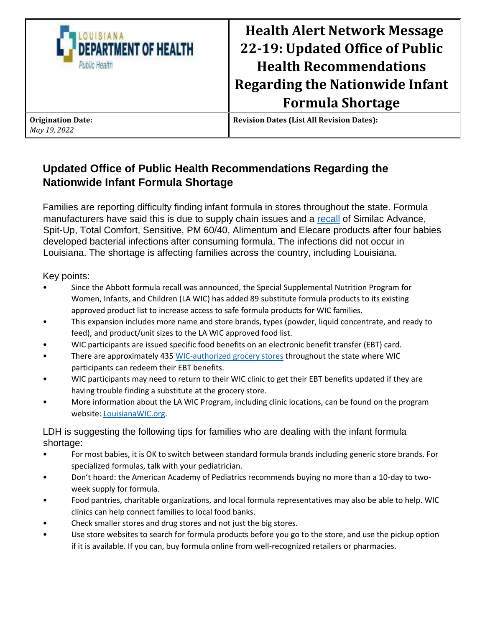

## **Health Alert Network Message 22-19: Updated Office of Public Health Recommendations Regarding the Nationwide Infant Formula Shortage**

**Updated Office of Public Health Recommendations Regarding the Nationwide Infant Formula Shortage**

Families are reporting difficulty finding infant formula in stores throughout the state. Formula manufacturers have said this is due to supply chain issues and a [recall](https://www.fda.gov/consumers/powdered-infant-formula-recall-what-know) of Similac Advance, Spit-Up, Total Comfort, Sensitive, PM 60/40, Alimentum and Elecare products after four babies developed bacterial infections after consuming formula. The infections did not occur in Louisiana. The shortage is affecting families across the country, including Louisiana.

Key points:

- Since the Abbott formula recall was announced, the Special Supplemental Nutrition Program for Women, Infants, and Children (LA WIC) has added 89 substitute formula products to its existing approved product list to increase access to safe formula products for WIC families.
- This expansion includes more name and store brands, types (powder, liquid concentrate, and ready to feed), and product/unit sizes to the LA WIC approved food list.
- WIC participants are issued specific food benefits on an electronic benefit transfer (EBT) card.
- There are approximately 43[5 WIC-authorized grocery stores](https://louisianawic.org/find/) throughout the state where WIC participants can redeem their EBT benefits.
- WIC participants may need to return to their WIC clinic to get their EBT benefits updated if they are having trouble finding a substitute at the grocery store.
- More information about the LA WIC Program, including clinic locations, can be found on the program website[: LouisianaWIC.org.](http://www.louisianawic.org/)

LDH is suggesting the following tips for families who are dealing with the infant formula shortage:

- For most babies, it is OK to switch between standard formula brands including generic store brands. For specialized formulas, talk with your pediatrician.
- Don't hoard: the American Academy of Pediatrics recommends buying no more than a 10-day to twoweek supply for formula.
- Food pantries, charitable organizations, and local formula representatives may also be able to help. WIC clinics can help connect families to local food banks.
- Check smaller stores and drug stores and not just the big stores.
- Use store websites to search for formula products before you go to the store, and use the pickup option if it is available. If you can, buy formula online from well-recognized retailers or pharmacies.